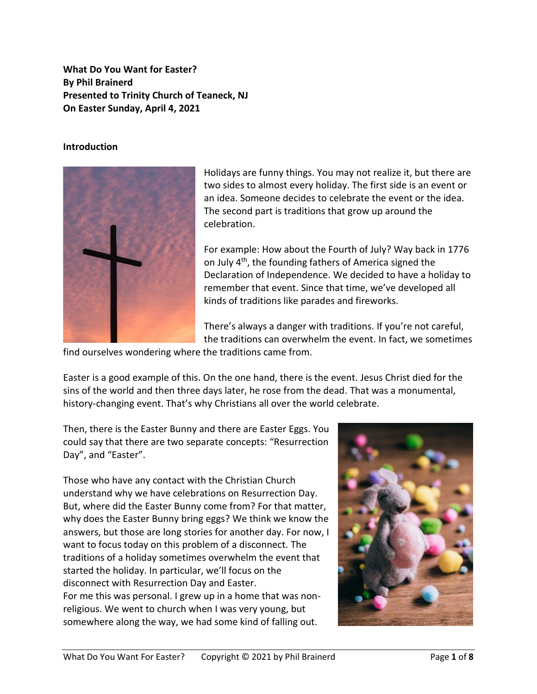**What Do You Want for Easter? By Phil Brainerd Presented to Trinity Church of Teaneck, NJ On Easter Sunday, April 4, 2021**

## **Introduction**



Holidays are funny things. You may not realize it, but there are two sides to almost every holiday. The first side is an event or an idea. Someone decides to celebrate the event or the idea. The second part is traditions that grow up around the celebration.

For example: How about the Fourth of July? Way back in 1776 on July 4<sup>th</sup>, the founding fathers of America signed the Declaration of Independence. We decided to have a holiday to remember that event. Since that time, we've developed all kinds of traditions like parades and fireworks.

There's always a danger with traditions. If you're not careful, the traditions can overwhelm the event. In fact, we sometimes

find ourselves wondering where the traditions came from.

Easter is a good example of this. On the one hand, there is the event. Jesus Christ died for the sins of the world and then three days later, he rose from the dead. That was a monumental, history-changing event. That's why Christians all over the world celebrate.

Then, there is the Easter Bunny and there are Easter Eggs. You could say that there are two separate concepts: "Resurrection Day", and "Easter".

Those who have any contact with the Christian Church understand why we have celebrations on Resurrection Day. But, where did the Easter Bunny come from? For that matter, why does the Easter Bunny bring eggs? We think we know the answers, but those are long stories for another day. For now, I want to focus today on this problem of a disconnect. The traditions of a holiday sometimes overwhelm the event that started the holiday. In particular, we'll focus on the disconnect with Resurrection Day and Easter. For me this was personal. I grew up in a home that was nonreligious. We went to church when I was very young, but somewhere along the way, we had some kind of falling out.

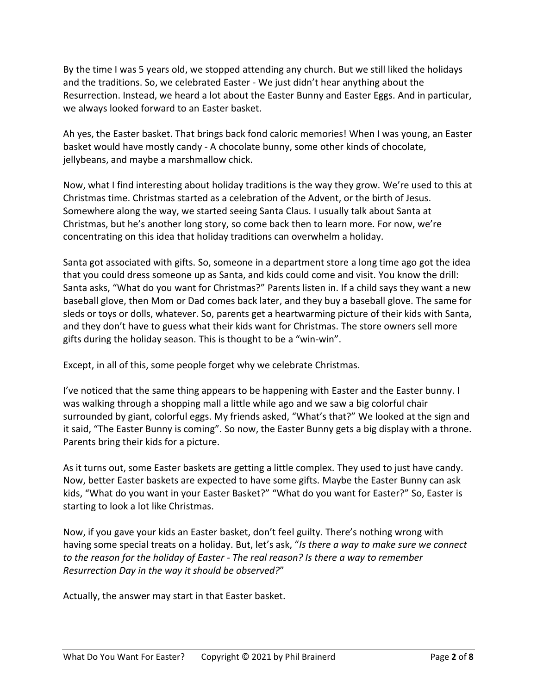By the time I was 5 years old, we stopped attending any church. But we still liked the holidays and the traditions. So, we celebrated Easter - We just didn't hear anything about the Resurrection. Instead, we heard a lot about the Easter Bunny and Easter Eggs. And in particular, we always looked forward to an Easter basket.

Ah yes, the Easter basket. That brings back fond caloric memories! When I was young, an Easter basket would have mostly candy - A chocolate bunny, some other kinds of chocolate, jellybeans, and maybe a marshmallow chick.

Now, what I find interesting about holiday traditions is the way they grow. We're used to this at Christmas time. Christmas started as a celebration of the Advent, or the birth of Jesus. Somewhere along the way, we started seeing Santa Claus. I usually talk about Santa at Christmas, but he's another long story, so come back then to learn more. For now, we're concentrating on this idea that holiday traditions can overwhelm a holiday.

Santa got associated with gifts. So, someone in a department store a long time ago got the idea that you could dress someone up as Santa, and kids could come and visit. You know the drill: Santa asks, "What do you want for Christmas?" Parents listen in. If a child says they want a new baseball glove, then Mom or Dad comes back later, and they buy a baseball glove. The same for sleds or toys or dolls, whatever. So, parents get a heartwarming picture of their kids with Santa, and they don't have to guess what their kids want for Christmas. The store owners sell more gifts during the holiday season. This is thought to be a "win-win".

Except, in all of this, some people forget why we celebrate Christmas.

I've noticed that the same thing appears to be happening with Easter and the Easter bunny. I was walking through a shopping mall a little while ago and we saw a big colorful chair surrounded by giant, colorful eggs. My friends asked, "What's that?" We looked at the sign and it said, "The Easter Bunny is coming". So now, the Easter Bunny gets a big display with a throne. Parents bring their kids for a picture.

As it turns out, some Easter baskets are getting a little complex. They used to just have candy. Now, better Easter baskets are expected to have some gifts. Maybe the Easter Bunny can ask kids, "What do you want in your Easter Basket?" "What do you want for Easter?" So, Easter is starting to look a lot like Christmas.

Now, if you gave your kids an Easter basket, don't feel guilty. There's nothing wrong with having some special treats on a holiday. But, let's ask, "*Is there a way to make sure we connect to the reason for the holiday of Easter - The real reason? Is there a way to remember Resurrection Day in the way it should be observed?*"

Actually, the answer may start in that Easter basket.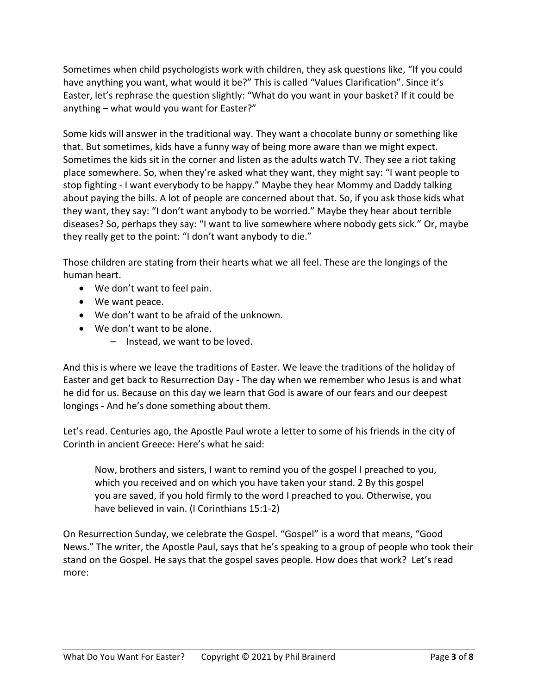Sometimes when child psychologists work with children, they ask questions like, "If you could have anything you want, what would it be?" This is called "Values Clarification". Since it's Easter, let's rephrase the question slightly: "What do you want in your basket? If it could be anything – what would you want for Easter?"

Some kids will answer in the traditional way. They want a chocolate bunny or something like that. But sometimes, kids have a funny way of being more aware than we might expect. Sometimes the kids sit in the corner and listen as the adults watch TV. They see a riot taking place somewhere. So, when they're asked what they want, they might say: "I want people to stop fighting - I want everybody to be happy." Maybe they hear Mommy and Daddy talking about paying the bills. A lot of people are concerned about that. So, if you ask those kids what they want, they say: "I don't want anybody to be worried." Maybe they hear about terrible diseases? So, perhaps they say: "I want to live somewhere where nobody gets sick." Or, maybe they really get to the point: "I don't want anybody to die."

Those children are stating from their hearts what we all feel. These are the longings of the human heart.

- We don't want to feel pain.
- We want peace.
- We don't want to be afraid of the unknown.
- We don't want to be alone.
	- Instead, we want to be loved.

And this is where we leave the traditions of Easter. We leave the traditions of the holiday of Easter and get back to Resurrection Day - The day when we remember who Jesus is and what he did for us. Because on this day we learn that God is aware of our fears and our deepest longings - And he's done something about them.

Let's read. Centuries ago, the Apostle Paul wrote a letter to some of his friends in the city of Corinth in ancient Greece: Here's what he said:

Now, brothers and sisters, I want to remind you of the gospel I preached to you, which you received and on which you have taken your stand. 2 By this gospel you are saved, if you hold firmly to the word I preached to you. Otherwise, you have believed in vain. (I Corinthians 15:1-2)

On Resurrection Sunday, we celebrate the Gospel. "Gospel" is a word that means, "Good News." The writer, the Apostle Paul, says that he's speaking to a group of people who took their stand on the Gospel. He says that the gospel saves people. How does that work? Let's read more: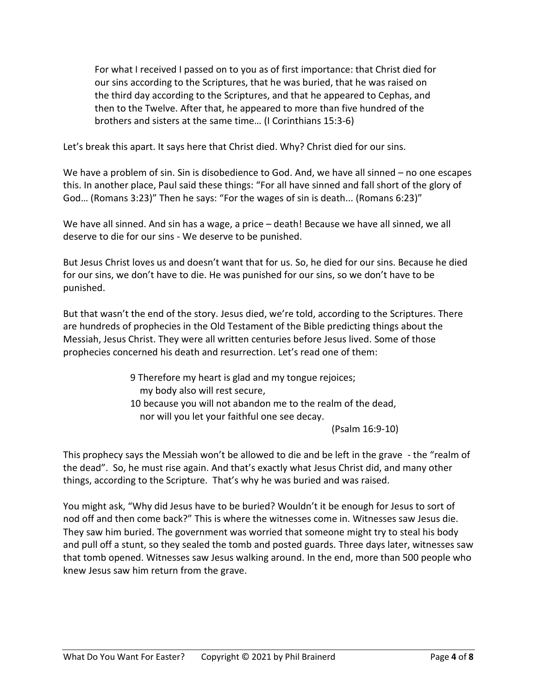For what I received I passed on to you as of first importance: that Christ died for our sins according to the Scriptures, that he was buried, that he was raised on the third day according to the Scriptures, and that he appeared to Cephas, and then to the Twelve. After that, he appeared to more than five hundred of the brothers and sisters at the same time… (I Corinthians 15:3-6)

Let's break this apart. It says here that Christ died. Why? Christ died for our sins.

We have a problem of sin. Sin is disobedience to God. And, we have all sinned – no one escapes this. In another place, Paul said these things: "For all have sinned and fall short of the glory of God… (Romans 3:23)" Then he says: "For the wages of sin is death... (Romans 6:23)"

We have all sinned. And sin has a wage, a price – death! Because we have all sinned, we all deserve to die for our sins - We deserve to be punished.

But Jesus Christ loves us and doesn't want that for us. So, he died for our sins. Because he died for our sins, we don't have to die. He was punished for our sins, so we don't have to be punished.

But that wasn't the end of the story. Jesus died, we're told, according to the Scriptures. There are hundreds of prophecies in the Old Testament of the Bible predicting things about the Messiah, Jesus Christ. They were all written centuries before Jesus lived. Some of those prophecies concerned his death and resurrection. Let's read one of them:

> 9 Therefore my heart is glad and my tongue rejoices; my body also will rest secure, 10 because you will not abandon me to the realm of the dead, nor will you let your faithful one see decay. (Psalm 16:9-10)

This prophecy says the Messiah won't be allowed to die and be left in the grave - the "realm of the dead". So, he must rise again. And that's exactly what Jesus Christ did, and many other things, according to the Scripture. That's why he was buried and was raised.

You might ask, "Why did Jesus have to be buried? Wouldn't it be enough for Jesus to sort of nod off and then come back?" This is where the witnesses come in. Witnesses saw Jesus die. They saw him buried. The government was worried that someone might try to steal his body and pull off a stunt, so they sealed the tomb and posted guards. Three days later, witnesses saw that tomb opened. Witnesses saw Jesus walking around. In the end, more than 500 people who knew Jesus saw him return from the grave.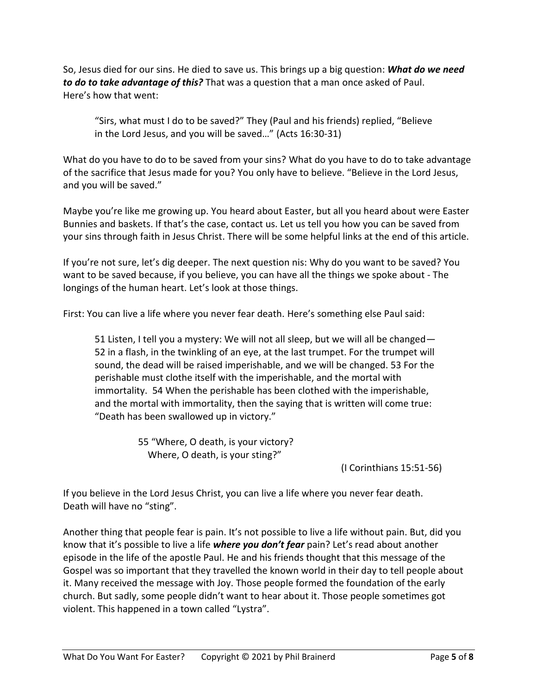So, Jesus died for our sins. He died to save us. This brings up a big question: *What do we need to do to take advantage of this?* That was a question that a man once asked of Paul. Here's how that went:

"Sirs, what must I do to be saved?" They (Paul and his friends) replied, "Believe in the Lord Jesus, and you will be saved…" (Acts 16:30-31)

What do you have to do to be saved from your sins? What do you have to do to take advantage of the sacrifice that Jesus made for you? You only have to believe. "Believe in the Lord Jesus, and you will be saved."

Maybe you're like me growing up. You heard about Easter, but all you heard about were Easter Bunnies and baskets. If that's the case, contact us. Let us tell you how you can be saved from your sins through faith in Jesus Christ. There will be some helpful links at the end of this article.

If you're not sure, let's dig deeper. The next question nis: Why do you want to be saved? You want to be saved because, if you believe, you can have all the things we spoke about - The longings of the human heart. Let's look at those things.

First: You can live a life where you never fear death. Here's something else Paul said:

51 Listen, I tell you a mystery: We will not all sleep, but we will all be changed— 52 in a flash, in the twinkling of an eye, at the last trumpet. For the trumpet will sound, the dead will be raised imperishable, and we will be changed. 53 For the perishable must clothe itself with the imperishable, and the mortal with immortality. 54 When the perishable has been clothed with the imperishable, and the mortal with immortality, then the saying that is written will come true: "Death has been swallowed up in victory."

> 55 "Where, O death, is your victory? Where, O death, is your sting?"

> > (I Corinthians 15:51-56)

If you believe in the Lord Jesus Christ, you can live a life where you never fear death. Death will have no "sting".

Another thing that people fear is pain. It's not possible to live a life without pain. But, did you know that it's possible to live a life *where you don't fear* pain? Let's read about another episode in the life of the apostle Paul. He and his friends thought that this message of the Gospel was so important that they travelled the known world in their day to tell people about it. Many received the message with Joy. Those people formed the foundation of the early church. But sadly, some people didn't want to hear about it. Those people sometimes got violent. This happened in a town called "Lystra".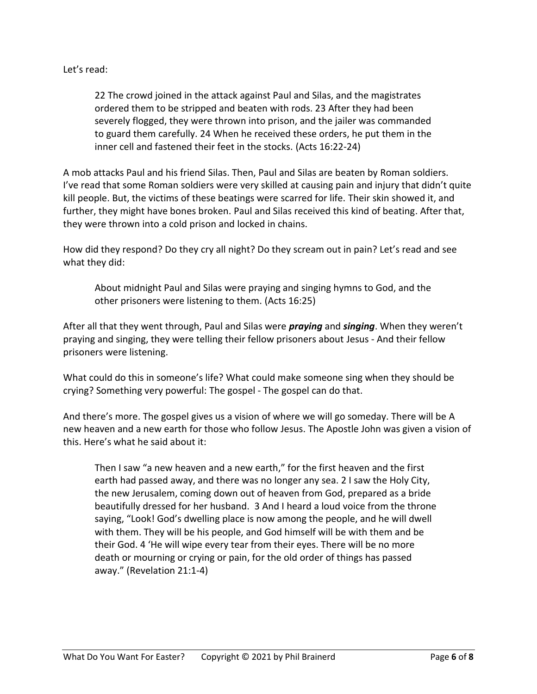## Let's read:

22 The crowd joined in the attack against Paul and Silas, and the magistrates ordered them to be stripped and beaten with rods. 23 After they had been severely flogged, they were thrown into prison, and the jailer was commanded to guard them carefully. 24 When he received these orders, he put them in the inner cell and fastened their feet in the stocks. (Acts 16:22-24)

A mob attacks Paul and his friend Silas. Then, Paul and Silas are beaten by Roman soldiers. I've read that some Roman soldiers were very skilled at causing pain and injury that didn't quite kill people. But, the victims of these beatings were scarred for life. Their skin showed it, and further, they might have bones broken. Paul and Silas received this kind of beating. After that, they were thrown into a cold prison and locked in chains.

How did they respond? Do they cry all night? Do they scream out in pain? Let's read and see what they did:

About midnight Paul and Silas were praying and singing hymns to God, and the other prisoners were listening to them. (Acts 16:25)

After all that they went through, Paul and Silas were *praying* and *singing*. When they weren't praying and singing, they were telling their fellow prisoners about Jesus - And their fellow prisoners were listening.

What could do this in someone's life? What could make someone sing when they should be crying? Something very powerful: The gospel - The gospel can do that.

And there's more. The gospel gives us a vision of where we will go someday. There will be A new heaven and a new earth for those who follow Jesus. The Apostle John was given a vision of this. Here's what he said about it:

Then I saw "a new heaven and a new earth," for the first heaven and the first earth had passed away, and there was no longer any sea. 2 I saw the Holy City, the new Jerusalem, coming down out of heaven from God, prepared as a bride beautifully dressed for her husband. 3 And I heard a loud voice from the throne saying, "Look! God's dwelling place is now among the people, and he will dwell with them. They will be his people, and God himself will be with them and be their God. 4 'He will wipe every tear from their eyes. There will be no more death or mourning or crying or pain, for the old order of things has passed away." (Revelation 21:1-4)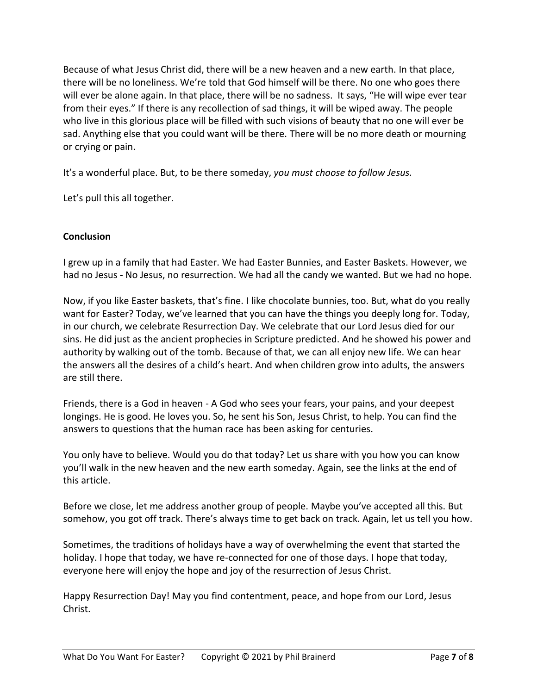Because of what Jesus Christ did, there will be a new heaven and a new earth. In that place, there will be no loneliness. We're told that God himself will be there. No one who goes there will ever be alone again. In that place, there will be no sadness. It says, "He will wipe ever tear from their eyes." If there is any recollection of sad things, it will be wiped away. The people who live in this glorious place will be filled with such visions of beauty that no one will ever be sad. Anything else that you could want will be there. There will be no more death or mourning or crying or pain.

It's a wonderful place. But, to be there someday, *you must choose to follow Jesus.*

Let's pull this all together.

## **Conclusion**

I grew up in a family that had Easter. We had Easter Bunnies, and Easter Baskets. However, we had no Jesus - No Jesus, no resurrection. We had all the candy we wanted. But we had no hope.

Now, if you like Easter baskets, that's fine. I like chocolate bunnies, too. But, what do you really want for Easter? Today, we've learned that you can have the things you deeply long for. Today, in our church, we celebrate Resurrection Day. We celebrate that our Lord Jesus died for our sins. He did just as the ancient prophecies in Scripture predicted. And he showed his power and authority by walking out of the tomb. Because of that, we can all enjoy new life. We can hear the answers all the desires of a child's heart. And when children grow into adults, the answers are still there.

Friends, there is a God in heaven - A God who sees your fears, your pains, and your deepest longings. He is good. He loves you. So, he sent his Son, Jesus Christ, to help. You can find the answers to questions that the human race has been asking for centuries.

You only have to believe. Would you do that today? Let us share with you how you can know you'll walk in the new heaven and the new earth someday. Again, see the links at the end of this article.

Before we close, let me address another group of people. Maybe you've accepted all this. But somehow, you got off track. There's always time to get back on track. Again, let us tell you how.

Sometimes, the traditions of holidays have a way of overwhelming the event that started the holiday. I hope that today, we have re-connected for one of those days. I hope that today, everyone here will enjoy the hope and joy of the resurrection of Jesus Christ.

Happy Resurrection Day! May you find contentment, peace, and hope from our Lord, Jesus Christ.